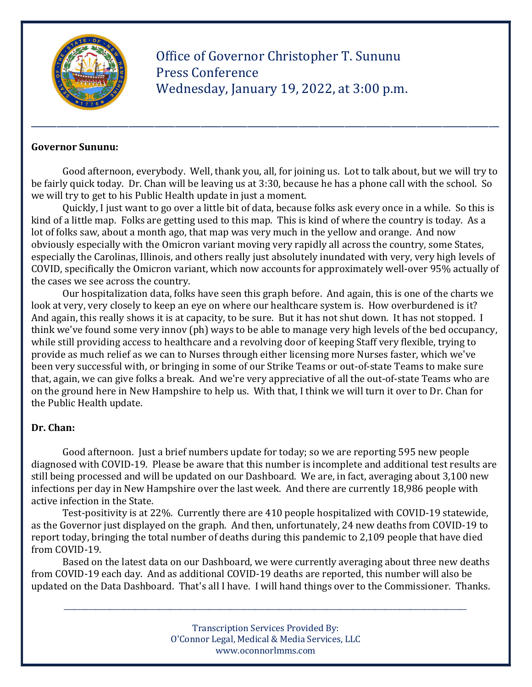

 Office of Governor Christopher T. Sununu Press Conference Wednesday, January 19, 2022, at 3:00 p.m.

#### Governor Sununu:

Good afternoon, everybody. Well, thank you, all, for joining us. Lot to talk about, but we will try to be fairly quick today. Dr. Chan will be leaving us at 3:30, because he has a phone call with the school. So we will try to get to his Public Health update in just a moment.

\_\_\_\_\_\_\_\_\_\_\_\_\_\_\_\_\_\_\_\_\_\_\_\_\_\_\_\_\_\_\_\_\_\_\_\_\_\_\_\_\_\_\_\_\_\_\_\_\_\_\_\_\_\_\_\_\_\_\_\_\_\_\_\_\_\_\_\_\_\_\_\_\_\_\_\_\_\_\_\_\_\_\_\_\_\_\_\_\_\_\_

 Quickly, I just want to go over a little bit of data, because folks ask every once in a while. So this is kind of a little map. Folks are getting used to this map. This is kind of where the country is today. As a lot of folks saw, about a month ago, that map was very much in the yellow and orange. And now obviously especially with the Omicron variant moving very rapidly all across the country, some States, especially the Carolinas, Illinois, and others really just absolutely inundated with very, very high levels of COVID, specifically the Omicron variant, which now accounts for approximately well-over 95% actually of the cases we see across the country.

 Our hospitalization data, folks have seen this graph before. And again, this is one of the charts we look at very, very closely to keep an eye on where our healthcare system is. How overburdened is it? And again, this really shows it is at capacity, to be sure. But it has not shut down. It has not stopped. I think we've found some very innov (ph) ways to be able to manage very high levels of the bed occupancy, while still providing access to healthcare and a revolving door of keeping Staff very flexible, trying to provide as much relief as we can to Nurses through either licensing more Nurses faster, which we've been very successful with, or bringing in some of our Strike Teams or out-of-state Teams to make sure that, again, we can give folks a break. And we're very appreciative of all the out-of-state Teams who are on the ground here in New Hampshire to help us. With that, I think we will turn it over to Dr. Chan for the Public Health update.

#### Dr. Chan:

 Good afternoon. Just a brief numbers update for today; so we are reporting 595 new people diagnosed with COVID-19. Please be aware that this number is incomplete and additional test results are still being processed and will be updated on our Dashboard. We are, in fact, averaging about 3,100 new infections per day in New Hampshire over the last week. And there are currently 18,986 people with active infection in the State.

 Test-positivity is at 22%. Currently there are 410 people hospitalized with COVID-19 statewide, as the Governor just displayed on the graph. And then, unfortunately, 24 new deaths from COVID-19 to report today, bringing the total number of deaths during this pandemic to 2,109 people that have died from COVID-19.

 Based on the latest data on our Dashboard, we were currently averaging about three new deaths from COVID-19 each day. And as additional COVID-19 deaths are reported, this number will also be updated on the Data Dashboard. That's all I have. I will hand things over to the Commissioner. Thanks.

> Transcription Services Provided By: O'Connor Legal, Medical & Media Services, LLC www.oconnorlmms.com

\_\_\_\_\_\_\_\_\_\_\_\_\_\_\_\_\_\_\_\_\_\_\_\_\_\_\_\_\_\_\_\_\_\_\_\_\_\_\_\_\_\_\_\_\_\_\_\_\_\_\_\_\_\_\_\_\_\_\_\_\_\_\_\_\_\_\_\_\_\_\_\_\_\_\_\_\_\_\_\_\_\_\_\_\_\_\_\_\_\_\_\_\_\_\_\_\_\_\_\_\_\_\_\_\_\_\_\_\_\_\_\_\_\_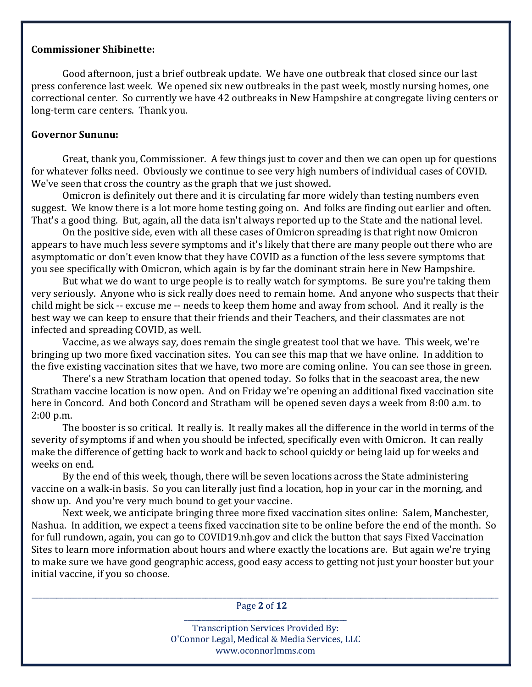#### Commissioner Shibinette:

 Good afternoon, just a brief outbreak update. We have one outbreak that closed since our last press conference last week. We opened six new outbreaks in the past week, mostly nursing homes, one correctional center. So currently we have 42 outbreaks in New Hampshire at congregate living centers or long-term care centers. Thank you.

#### Governor Sununu:

 Great, thank you, Commissioner. A few things just to cover and then we can open up for questions for whatever folks need. Obviously we continue to see very high numbers of individual cases of COVID. We've seen that cross the country as the graph that we just showed.

 Omicron is definitely out there and it is circulating far more widely than testing numbers even suggest. We know there is a lot more home testing going on. And folks are finding out earlier and often. That's a good thing. But, again, all the data isn't always reported up to the State and the national level.

 On the positive side, even with all these cases of Omicron spreading is that right now Omicron appears to have much less severe symptoms and it's likely that there are many people out there who are asymptomatic or don't even know that they have COVID as a function of the less severe symptoms that you see specifically with Omicron, which again is by far the dominant strain here in New Hampshire.

 But what we do want to urge people is to really watch for symptoms. Be sure you're taking them very seriously. Anyone who is sick really does need to remain home. And anyone who suspects that their child might be sick -- excuse me -- needs to keep them home and away from school. And it really is the best way we can keep to ensure that their friends and their Teachers, and their classmates are not infected and spreading COVID, as well.

 Vaccine, as we always say, does remain the single greatest tool that we have. This week, we're bringing up two more fixed vaccination sites. You can see this map that we have online. In addition to the five existing vaccination sites that we have, two more are coming online. You can see those in green.

 There's a new Stratham location that opened today. So folks that in the seacoast area, the new Stratham vaccine location is now open. And on Friday we're opening an additional fixed vaccination site here in Concord. And both Concord and Stratham will be opened seven days a week from 8:00 a.m. to 2:00 p.m.

 The booster is so critical. It really is. It really makes all the difference in the world in terms of the severity of symptoms if and when you should be infected, specifically even with Omicron. It can really make the difference of getting back to work and back to school quickly or being laid up for weeks and weeks on end.

 By the end of this week, though, there will be seven locations across the State administering vaccine on a walk-in basis. So you can literally just find a location, hop in your car in the morning, and show up. And you're very much bound to get your vaccine.

 Next week, we anticipate bringing three more fixed vaccination sites online: Salem, Manchester, Nashua. In addition, we expect a teens fixed vaccination site to be online before the end of the month. So for full rundown, again, you can go to COVID19.nh.gov and click the button that says Fixed Vaccination Sites to learn more information about hours and where exactly the locations are. But again we're trying to make sure we have good geographic access, good easy access to getting not just your booster but your initial vaccine, if you so choose.

\_\_\_\_\_\_\_\_\_\_\_\_\_\_\_\_\_\_\_\_\_\_\_\_\_\_\_\_\_\_\_\_\_\_\_\_\_\_\_\_\_\_\_\_\_\_\_\_\_\_\_\_\_\_\_\_\_\_\_\_\_\_\_\_\_\_\_\_\_\_\_\_\_\_\_\_\_\_\_\_\_\_\_\_\_\_\_\_\_\_\_\_\_\_\_\_\_\_\_\_\_\_\_\_\_\_\_\_\_\_\_\_\_\_\_\_\_\_\_\_\_\_\_\_\_\_\_\_\_\_\_\_ Page 2 of 12 \_\_\_\_\_\_\_\_\_\_\_\_\_\_\_\_\_\_\_\_\_\_\_\_\_\_\_\_\_\_\_\_\_\_\_\_\_\_\_\_\_\_\_\_\_\_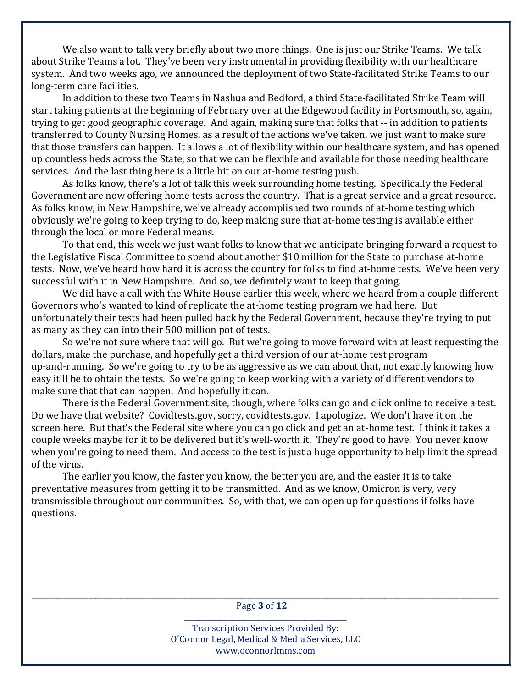We also want to talk very briefly about two more things. One is just our Strike Teams. We talk about Strike Teams a lot. They've been very instrumental in providing flexibility with our healthcare system. And two weeks ago, we announced the deployment of two State-facilitated Strike Teams to our long-term care facilities.

 In addition to these two Teams in Nashua and Bedford, a third State-facilitated Strike Team will start taking patients at the beginning of February over at the Edgewood facility in Portsmouth, so, again, trying to get good geographic coverage. And again, making sure that folks that -- in addition to patients transferred to County Nursing Homes, as a result of the actions we've taken, we just want to make sure that those transfers can happen. It allows a lot of flexibility within our healthcare system, and has opened up countless beds across the State, so that we can be flexible and available for those needing healthcare services. And the last thing here is a little bit on our at-home testing push.

 As folks know, there's a lot of talk this week surrounding home testing. Specifically the Federal Government are now offering home tests across the country. That is a great service and a great resource. As folks know, in New Hampshire, we've already accomplished two rounds of at-home testing which obviously we're going to keep trying to do, keep making sure that at-home testing is available either through the local or more Federal means.

 To that end, this week we just want folks to know that we anticipate bringing forward a request to the Legislative Fiscal Committee to spend about another \$10 million for the State to purchase at-home tests. Now, we've heard how hard it is across the country for folks to find at-home tests. We've been very successful with it in New Hampshire. And so, we definitely want to keep that going.

 We did have a call with the White House earlier this week, where we heard from a couple different Governors who's wanted to kind of replicate the at-home testing program we had here. But unfortunately their tests had been pulled back by the Federal Government, because they're trying to put as many as they can into their 500 million pot of tests.

 So we're not sure where that will go. But we're going to move forward with at least requesting the dollars, make the purchase, and hopefully get a third version of our at-home test program up-and-running. So we're going to try to be as aggressive as we can about that, not exactly knowing how easy it'll be to obtain the tests. So we're going to keep working with a variety of different vendors to make sure that that can happen. And hopefully it can.

 There is the Federal Government site, though, where folks can go and click online to receive a test. Do we have that website? Covidtests.gov, sorry, covidtests.gov. I apologize. We don't have it on the screen here. But that's the Federal site where you can go click and get an at-home test. I think it takes a couple weeks maybe for it to be delivered but it's well-worth it. They're good to have. You never know when you're going to need them. And access to the test is just a huge opportunity to help limit the spread of the virus.

 The earlier you know, the faster you know, the better you are, and the easier it is to take preventative measures from getting it to be transmitted. And as we know, Omicron is very, very transmissible throughout our communities. So, with that, we can open up for questions if folks have questions.

\_\_\_\_\_\_\_\_\_\_\_\_\_\_\_\_\_\_\_\_\_\_\_\_\_\_\_\_\_\_\_\_\_\_\_\_\_\_\_\_\_\_\_\_\_\_\_\_\_\_\_\_\_\_\_\_\_\_\_\_\_\_\_\_\_\_\_\_\_\_\_\_\_\_\_\_\_\_\_\_\_\_\_\_\_\_\_\_\_\_\_\_\_\_\_\_\_\_\_\_\_\_\_\_\_\_\_\_\_\_\_\_\_\_\_\_\_\_\_\_\_\_\_\_\_\_\_\_\_\_\_\_ Page 3 of 12 \_\_\_\_\_\_\_\_\_\_\_\_\_\_\_\_\_\_\_\_\_\_\_\_\_\_\_\_\_\_\_\_\_\_\_\_\_\_\_\_\_\_\_\_\_\_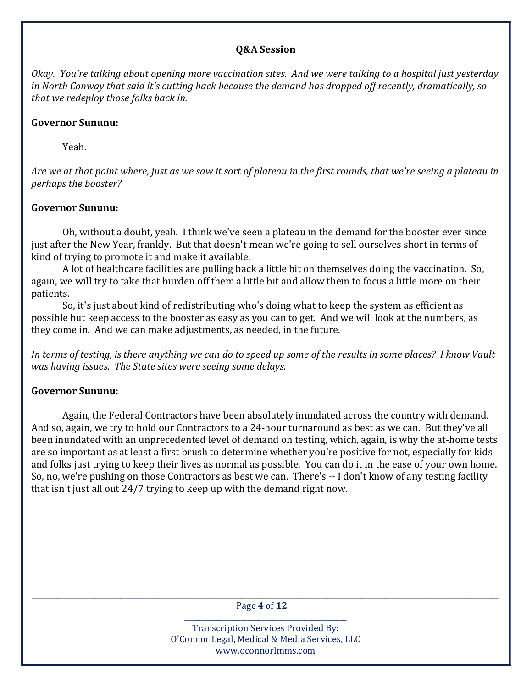#### Q&A Session

Okay. You're talking about opening more vaccination sites. And we were talking to a hospital just yesterday in North Conway that said it's cutting back because the demand has dropped off recently, dramatically, so that we redeploy those folks back in.

#### Governor Sununu:

Yeah.

Are we at that point where, just as we saw it sort of plateau in the first rounds, that we're seeing a plateau in perhaps the booster?

## Governor Sununu:

 Oh, without a doubt, yeah. I think we've seen a plateau in the demand for the booster ever since just after the New Year, frankly. But that doesn't mean we're going to sell ourselves short in terms of kind of trying to promote it and make it available.

 A lot of healthcare facilities are pulling back a little bit on themselves doing the vaccination. So, again, we will try to take that burden off them a little bit and allow them to focus a little more on their patients.

 So, it's just about kind of redistributing who's doing what to keep the system as efficient as possible but keep access to the booster as easy as you can to get. And we will look at the numbers, as they come in. And we can make adjustments, as needed, in the future.

In terms of testing, is there anything we can do to speed up some of the results in some places? I know Vault was having issues. The State sites were seeing some delays.

# Governor Sununu:

 Again, the Federal Contractors have been absolutely inundated across the country with demand. And so, again, we try to hold our Contractors to a 24-hour turnaround as best as we can. But they've all been inundated with an unprecedented level of demand on testing, which, again, is why the at-home tests are so important as at least a first brush to determine whether you're positive for not, especially for kids and folks just trying to keep their lives as normal as possible. You can do it in the ease of your own home. So, no, we're pushing on those Contractors as best we can. There's -- I don't know of any testing facility that isn't just all out 24/7 trying to keep up with the demand right now.

\_\_\_\_\_\_\_\_\_\_\_\_\_\_\_\_\_\_\_\_\_\_\_\_\_\_\_\_\_\_\_\_\_\_\_\_\_\_\_\_\_\_\_\_\_\_\_\_\_\_\_\_\_\_\_\_\_\_\_\_\_\_\_\_\_\_\_\_\_\_\_\_\_\_\_\_\_\_\_\_\_\_\_\_\_\_\_\_\_\_\_\_\_\_\_\_\_\_\_\_\_\_\_\_\_\_\_\_\_\_\_\_\_\_\_\_\_\_\_\_\_\_\_\_\_\_\_\_\_\_\_\_ Page 4 of 12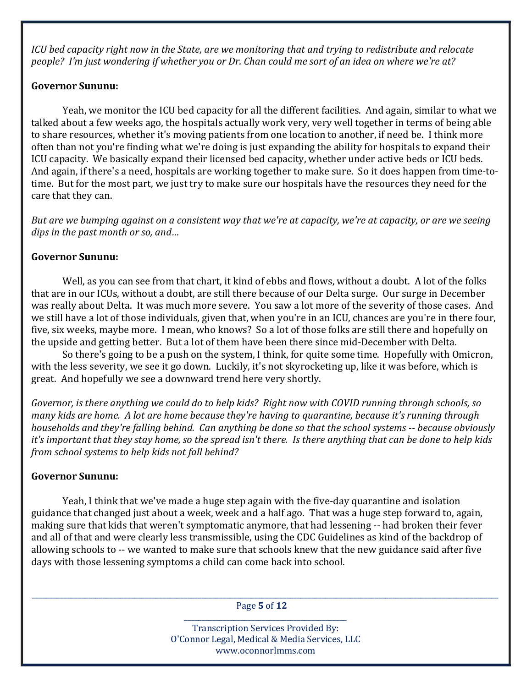ICU bed capacity right now in the State, are we monitoring that and trying to redistribute and relocate people? I'm just wondering if whether you or Dr. Chan could me sort of an idea on where we're at?

## Governor Sununu:

 Yeah, we monitor the ICU bed capacity for all the different facilities. And again, similar to what we talked about a few weeks ago, the hospitals actually work very, very well together in terms of being able to share resources, whether it's moving patients from one location to another, if need be. I think more often than not you're finding what we're doing is just expanding the ability for hospitals to expand their ICU capacity. We basically expand their licensed bed capacity, whether under active beds or ICU beds. And again, if there's a need, hospitals are working together to make sure. So it does happen from time-totime. But for the most part, we just try to make sure our hospitals have the resources they need for the care that they can.

But are we bumping against on a consistent way that we're at capacity, we're at capacity, or are we seeing dips in the past month or so, and…

# Governor Sununu:

 Well, as you can see from that chart, it kind of ebbs and flows, without a doubt. A lot of the folks that are in our ICUs, without a doubt, are still there because of our Delta surge. Our surge in December was really about Delta. It was much more severe. You saw a lot more of the severity of those cases. And we still have a lot of those individuals, given that, when you're in an ICU, chances are you're in there four, five, six weeks, maybe more. I mean, who knows? So a lot of those folks are still there and hopefully on the upside and getting better. But a lot of them have been there since mid-December with Delta.

 So there's going to be a push on the system, I think, for quite some time. Hopefully with Omicron, with the less severity, we see it go down. Luckily, it's not skyrocketing up, like it was before, which is great. And hopefully we see a downward trend here very shortly.

Governor, is there anything we could do to help kids? Right now with COVID running through schools, so many kids are home. A lot are home because they're having to quarantine, because it's running through households and they're falling behind. Can anything be done so that the school systems -- because obviously it's important that they stay home, so the spread isn't there. Is there anything that can be done to help kids from school systems to help kids not fall behind?

# Governor Sununu:

 Yeah, I think that we've made a huge step again with the five-day quarantine and isolation guidance that changed just about a week, week and a half ago. That was a huge step forward to, again, making sure that kids that weren't symptomatic anymore, that had lessening -- had broken their fever and all of that and were clearly less transmissible, using the CDC Guidelines as kind of the backdrop of allowing schools to -- we wanted to make sure that schools knew that the new guidance said after five days with those lessening symptoms a child can come back into school.

\_\_\_\_\_\_\_\_\_\_\_\_\_\_\_\_\_\_\_\_\_\_\_\_\_\_\_\_\_\_\_\_\_\_\_\_\_\_\_\_\_\_\_\_\_\_\_\_\_\_\_\_\_\_\_\_\_\_\_\_\_\_\_\_\_\_\_\_\_\_\_\_\_\_\_\_\_\_\_\_\_\_\_\_\_\_\_\_\_\_\_\_\_\_\_\_\_\_\_\_\_\_\_\_\_\_\_\_\_\_\_\_\_\_\_\_\_\_\_\_\_\_\_\_\_\_\_\_\_\_\_\_ Page 5 of 12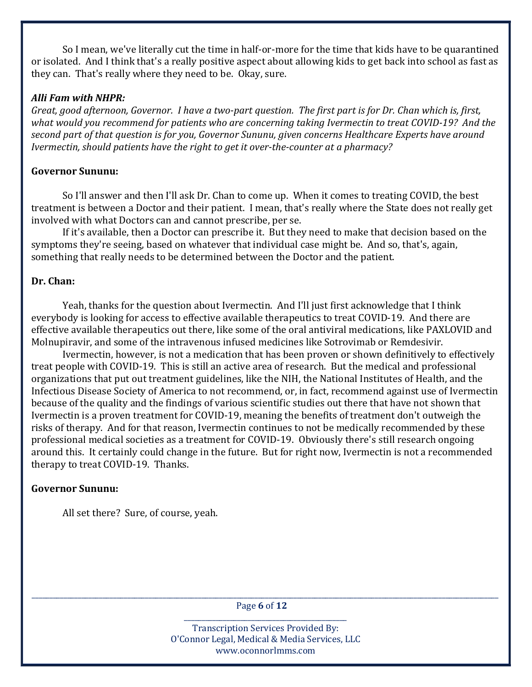So I mean, we've literally cut the time in half-or-more for the time that kids have to be quarantined or isolated. And I think that's a really positive aspect about allowing kids to get back into school as fast as they can. That's really where they need to be. Okay, sure.

#### Alli Fam with NHPR:

Great, good afternoon, Governor. I have a two-part question. The first part is for Dr. Chan which is, first, what would you recommend for patients who are concerning taking Ivermectin to treat COVID-19? And the second part of that question is for you, Governor Sununu, given concerns Healthcare Experts have around Ivermectin, should patients have the right to get it over-the-counter at a pharmacy?

## Governor Sununu:

 So I'll answer and then I'll ask Dr. Chan to come up. When it comes to treating COVID, the best treatment is between a Doctor and their patient. I mean, that's really where the State does not really get involved with what Doctors can and cannot prescribe, per se.

 If it's available, then a Doctor can prescribe it. But they need to make that decision based on the symptoms they're seeing, based on whatever that individual case might be. And so, that's, again, something that really needs to be determined between the Doctor and the patient.

## Dr. Chan:

 Yeah, thanks for the question about Ivermectin. And I'll just first acknowledge that I think everybody is looking for access to effective available therapeutics to treat COVID-19. And there are effective available therapeutics out there, like some of the oral antiviral medications, like PAXLOVID and Molnupiravir, and some of the intravenous infused medicines like Sotrovimab or Remdesivir.

 Ivermectin, however, is not a medication that has been proven or shown definitively to effectively treat people with COVID-19. This is still an active area of research. But the medical and professional organizations that put out treatment guidelines, like the NIH, the National Institutes of Health, and the Infectious Disease Society of America to not recommend, or, in fact, recommend against use of Ivermectin because of the quality and the findings of various scientific studies out there that have not shown that Ivermectin is a proven treatment for COVID-19, meaning the benefits of treatment don't outweigh the risks of therapy. And for that reason, Ivermectin continues to not be medically recommended by these professional medical societies as a treatment for COVID-19. Obviously there's still research ongoing around this. It certainly could change in the future. But for right now, Ivermectin is not a recommended therapy to treat COVID-19. Thanks.

# Governor Sununu:

All set there? Sure, of course, yeah.

\_\_\_\_\_\_\_\_\_\_\_\_\_\_\_\_\_\_\_\_\_\_\_\_\_\_\_\_\_\_\_\_\_\_\_\_\_\_\_\_\_\_\_\_\_\_\_\_\_\_\_\_\_\_\_\_\_\_\_\_\_\_\_\_\_\_\_\_\_\_\_\_\_\_\_\_\_\_\_\_\_\_\_\_\_\_\_\_\_\_\_\_\_\_\_\_\_\_\_\_\_\_\_\_\_\_\_\_\_\_\_\_\_\_\_\_\_\_\_\_\_\_\_\_\_\_\_\_\_\_\_\_ Page 6 of 12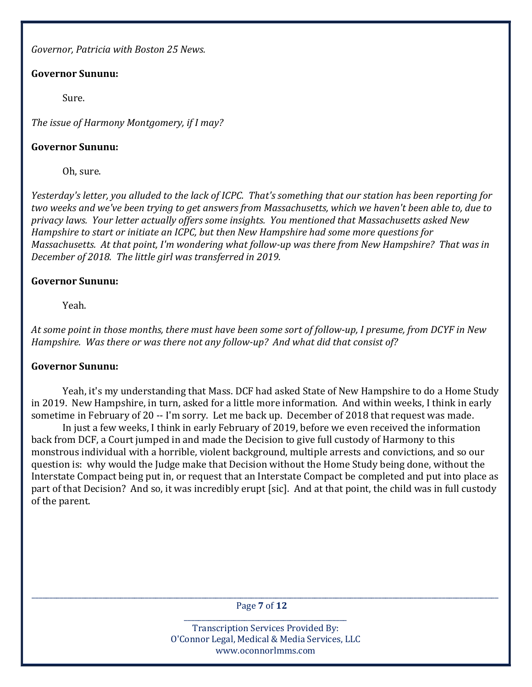Governor, Patricia with Boston 25 News.

# Governor Sununu:

Sure.

The issue of Harmony Montgomery, if I may?

#### Governor Sununu:

Oh, sure.

Yesterday's letter, you alluded to the lack of ICPC. That's something that our station has been reporting for two weeks and we've been trying to get answers from Massachusetts, which we haven't been able to, due to privacy laws. Your letter actually offers some insights. You mentioned that Massachusetts asked New Hampshire to start or initiate an ICPC, but then New Hampshire had some more questions for Massachusetts. At that point, I'm wondering what follow-up was there from New Hampshire? That was in December of 2018. The little girl was transferred in 2019.

## Governor Sununu:

Yeah.

At some point in those months, there must have been some sort of follow-up, I presume, from DCYF in New Hampshire. Was there or was there not any follow-up? And what did that consist of?

# Governor Sununu:

 Yeah, it's my understanding that Mass. DCF had asked State of New Hampshire to do a Home Study in 2019. New Hampshire, in turn, asked for a little more information. And within weeks, I think in early sometime in February of 20 -- I'm sorry. Let me back up. December of 2018 that request was made.

 In just a few weeks, I think in early February of 2019, before we even received the information back from DCF, a Court jumped in and made the Decision to give full custody of Harmony to this monstrous individual with a horrible, violent background, multiple arrests and convictions, and so our question is: why would the Judge make that Decision without the Home Study being done, without the Interstate Compact being put in, or request that an Interstate Compact be completed and put into place as part of that Decision? And so, it was incredibly erupt [sic]. And at that point, the child was in full custody of the parent.

\_\_\_\_\_\_\_\_\_\_\_\_\_\_\_\_\_\_\_\_\_\_\_\_\_\_\_\_\_\_\_\_\_\_\_\_\_\_\_\_\_\_\_\_\_\_\_\_\_\_\_\_\_\_\_\_\_\_\_\_\_\_\_\_\_\_\_\_\_\_\_\_\_\_\_\_\_\_\_\_\_\_\_\_\_\_\_\_\_\_\_\_\_\_\_\_\_\_\_\_\_\_\_\_\_\_\_\_\_\_\_\_\_\_\_\_\_\_\_\_\_\_\_\_\_\_\_\_\_\_\_\_ Page 7 of 12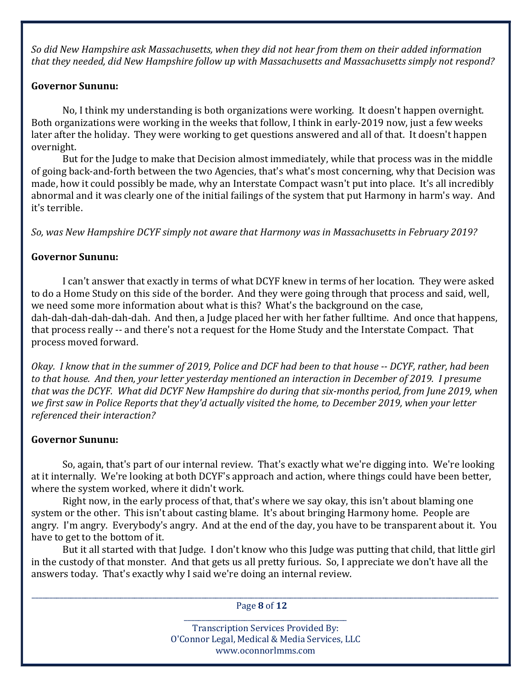So did New Hampshire ask Massachusetts, when they did not hear from them on their added information that they needed, did New Hampshire follow up with Massachusetts and Massachusetts simply not respond?

## Governor Sununu:

 No, I think my understanding is both organizations were working. It doesn't happen overnight. Both organizations were working in the weeks that follow, I think in early-2019 now, just a few weeks later after the holiday. They were working to get questions answered and all of that. It doesn't happen overnight.

 But for the Judge to make that Decision almost immediately, while that process was in the middle of going back-and-forth between the two Agencies, that's what's most concerning, why that Decision was made, how it could possibly be made, why an Interstate Compact wasn't put into place. It's all incredibly abnormal and it was clearly one of the initial failings of the system that put Harmony in harm's way. And it's terrible.

So, was New Hampshire DCYF simply not aware that Harmony was in Massachusetts in February 2019?

# Governor Sununu:

 I can't answer that exactly in terms of what DCYF knew in terms of her location. They were asked to do a Home Study on this side of the border. And they were going through that process and said, well, we need some more information about what is this? What's the background on the case, dah-dah-dah-dah-dah-dah. And then, a Judge placed her with her father fulltime. And once that happens, that process really -- and there's not a request for the Home Study and the Interstate Compact. That process moved forward.

Okay. I know that in the summer of 2019, Police and DCF had been to that house -- DCYF, rather, had been to that house. And then, your letter yesterday mentioned an interaction in December of 2019. I presume that was the DCYF. What did DCYF New Hampshire do during that six-months period, from June 2019, when we first saw in Police Reports that they'd actually visited the home, to December 2019, when your letter referenced their interaction?

# Governor Sununu:

 So, again, that's part of our internal review. That's exactly what we're digging into. We're looking at it internally. We're looking at both DCYF's approach and action, where things could have been better, where the system worked, where it didn't work.

 Right now, in the early process of that, that's where we say okay, this isn't about blaming one system or the other. This isn't about casting blame. It's about bringing Harmony home. People are angry. I'm angry. Everybody's angry. And at the end of the day, you have to be transparent about it. You have to get to the bottom of it.

 But it all started with that Judge. I don't know who this Judge was putting that child, that little girl in the custody of that monster. And that gets us all pretty furious. So, I appreciate we don't have all the answers today. That's exactly why I said we're doing an internal review.

\_\_\_\_\_\_\_\_\_\_\_\_\_\_\_\_\_\_\_\_\_\_\_\_\_\_\_\_\_\_\_\_\_\_\_\_\_\_\_\_\_\_\_\_\_\_\_\_\_\_\_\_\_\_\_\_\_\_\_\_\_\_\_\_\_\_\_\_\_\_\_\_\_\_\_\_\_\_\_\_\_\_\_\_\_\_\_\_\_\_\_\_\_\_\_\_\_\_\_\_\_\_\_\_\_\_\_\_\_\_\_\_\_\_\_\_\_\_\_\_\_\_\_\_\_\_\_\_\_\_\_\_ Page 8 of 12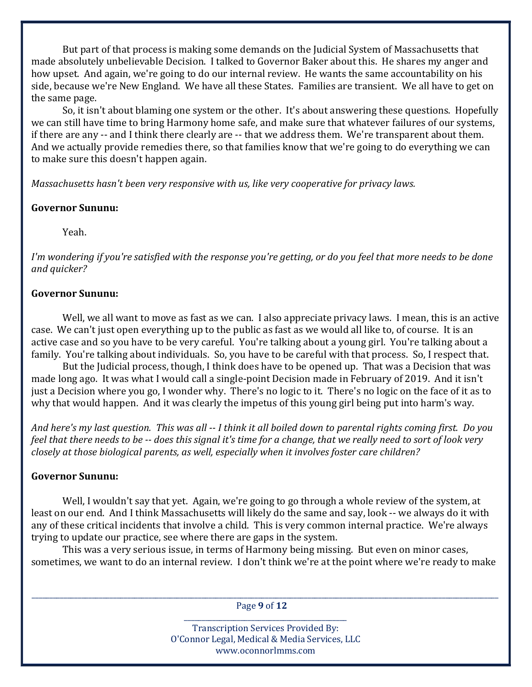But part of that process is making some demands on the Judicial System of Massachusetts that made absolutely unbelievable Decision. I talked to Governor Baker about this. He shares my anger and how upset. And again, we're going to do our internal review. He wants the same accountability on his side, because we're New England. We have all these States. Families are transient. We all have to get on the same page.

 So, it isn't about blaming one system or the other. It's about answering these questions. Hopefully we can still have time to bring Harmony home safe, and make sure that whatever failures of our systems, if there are any -- and I think there clearly are -- that we address them. We're transparent about them. And we actually provide remedies there, so that families know that we're going to do everything we can to make sure this doesn't happen again.

Massachusetts hasn't been very responsive with us, like very cooperative for privacy laws.

#### Governor Sununu:

Yeah.

I'm wondering if you're satisfied with the response you're getting, or do you feel that more needs to be done and quicker?

#### Governor Sununu:

 Well, we all want to move as fast as we can. I also appreciate privacy laws. I mean, this is an active case. We can't just open everything up to the public as fast as we would all like to, of course. It is an active case and so you have to be very careful. You're talking about a young girl. You're talking about a family. You're talking about individuals. So, you have to be careful with that process. So, I respect that.

 But the Judicial process, though, I think does have to be opened up. That was a Decision that was made long ago. It was what I would call a single-point Decision made in February of 2019. And it isn't just a Decision where you go, I wonder why. There's no logic to it. There's no logic on the face of it as to why that would happen. And it was clearly the impetus of this young girl being put into harm's way.

And here's my last question. This was all -- I think it all boiled down to parental rights coming first. Do you feel that there needs to be -- does this signal it's time for a change, that we really need to sort of look very closely at those biological parents, as well, especially when it involves foster care children?

#### Governor Sununu:

 Well, I wouldn't say that yet. Again, we're going to go through a whole review of the system, at least on our end. And I think Massachusetts will likely do the same and say, look -- we always do it with any of these critical incidents that involve a child. This is very common internal practice. We're always trying to update our practice, see where there are gaps in the system.

 This was a very serious issue, in terms of Harmony being missing. But even on minor cases, sometimes, we want to do an internal review. I don't think we're at the point where we're ready to make

\_\_\_\_\_\_\_\_\_\_\_\_\_\_\_\_\_\_\_\_\_\_\_\_\_\_\_\_\_\_\_\_\_\_\_\_\_\_\_\_\_\_\_\_\_\_\_\_\_\_\_\_\_\_\_\_\_\_\_\_\_\_\_\_\_\_\_\_\_\_\_\_\_\_\_\_\_\_\_\_\_\_\_\_\_\_\_\_\_\_\_\_\_\_\_\_\_\_\_\_\_\_\_\_\_\_\_\_\_\_\_\_\_\_\_\_\_\_\_\_\_\_\_\_\_\_\_\_\_\_\_\_ Page 9 of 12 \_\_\_\_\_\_\_\_\_\_\_\_\_\_\_\_\_\_\_\_\_\_\_\_\_\_\_\_\_\_\_\_\_\_\_\_\_\_\_\_\_\_\_\_\_\_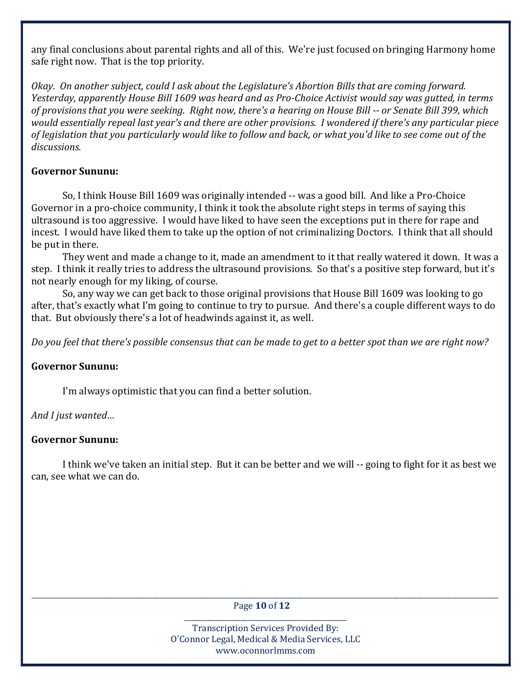any final conclusions about parental rights and all of this. We're just focused on bringing Harmony home safe right now. That is the top priority.

Okay. On another subject, could I ask about the Legislature's Abortion Bills that are coming forward. Yesterday, apparently House Bill 1609 was heard and as Pro-Choice Activist would say was gutted, in terms of provisions that you were seeking. Right now, there's a hearing on House Bill -- or Senate Bill 399, which would essentially repeal last year's and there are other provisions. I wondered if there's any particular piece of legislation that you particularly would like to follow and back, or what you'd like to see come out of the discussions.

# Governor Sununu:

 So, I think House Bill 1609 was originally intended -- was a good bill. And like a Pro-Choice Governor in a pro-choice community, I think it took the absolute right steps in terms of saying this ultrasound is too aggressive. I would have liked to have seen the exceptions put in there for rape and incest. I would have liked them to take up the option of not criminalizing Doctors. I think that all should be put in there.

 They went and made a change to it, made an amendment to it that really watered it down. It was a step. I think it really tries to address the ultrasound provisions. So that's a positive step forward, but it's not nearly enough for my liking, of course.

 So, any way we can get back to those original provisions that House Bill 1609 was looking to go after, that's exactly what I'm going to continue to try to pursue. And there's a couple different ways to do that. But obviously there's a lot of headwinds against it, as well.

Do you feel that there's possible consensus that can be made to get to a better spot than we are right now?

# Governor Sununu:

I'm always optimistic that you can find a better solution.

And I just wanted…

# Governor Sununu:

 I think we've taken an initial step. But it can be better and we will -- going to fight for it as best we can, see what we can do.

\_\_\_\_\_\_\_\_\_\_\_\_\_\_\_\_\_\_\_\_\_\_\_\_\_\_\_\_\_\_\_\_\_\_\_\_\_\_\_\_\_\_\_\_\_\_\_\_\_\_\_\_\_\_\_\_\_\_\_\_\_\_\_\_\_\_\_\_\_\_\_\_\_\_\_\_\_\_\_\_\_\_\_\_\_\_\_\_\_\_\_\_\_\_\_\_\_\_\_\_\_\_\_\_\_\_\_\_\_\_\_\_\_\_\_\_\_\_\_\_\_\_\_\_\_\_\_\_\_\_\_\_ Page 10 of 12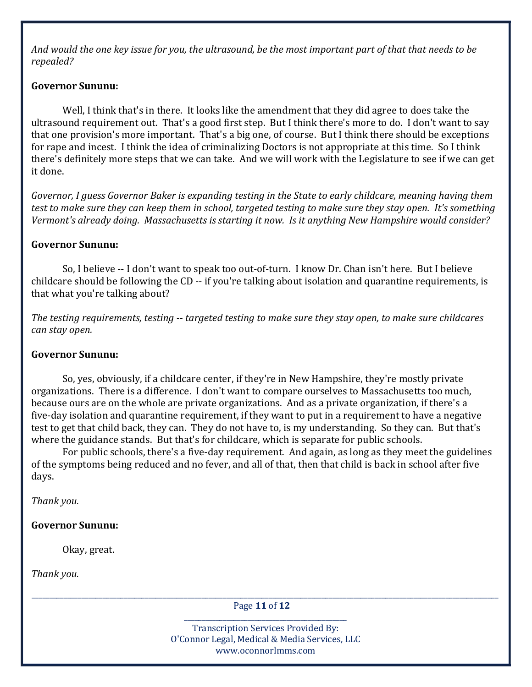And would the one key issue for you, the ultrasound, be the most important part of that that needs to be repealed?

### Governor Sununu:

 Well, I think that's in there. It looks like the amendment that they did agree to does take the ultrasound requirement out. That's a good first step. But I think there's more to do. I don't want to say that one provision's more important. That's a big one, of course. But I think there should be exceptions for rape and incest. I think the idea of criminalizing Doctors is not appropriate at this time. So I think there's definitely more steps that we can take. And we will work with the Legislature to see if we can get it done.

Governor, I guess Governor Baker is expanding testing in the State to early childcare, meaning having them test to make sure they can keep them in school, targeted testing to make sure they stay open. It's something Vermont's already doing. Massachusetts is starting it now. Is it anything New Hampshire would consider?

## Governor Sununu:

 So, I believe -- I don't want to speak too out-of-turn. I know Dr. Chan isn't here. But I believe childcare should be following the CD -- if you're talking about isolation and quarantine requirements, is that what you're talking about?

The testing requirements, testing -- targeted testing to make sure they stay open, to make sure childcares can stay open.

#### Governor Sununu:

 So, yes, obviously, if a childcare center, if they're in New Hampshire, they're mostly private organizations. There is a difference. I don't want to compare ourselves to Massachusetts too much, because ours are on the whole are private organizations. And as a private organization, if there's a five-day isolation and quarantine requirement, if they want to put in a requirement to have a negative test to get that child back, they can. They do not have to, is my understanding. So they can. But that's where the guidance stands. But that's for childcare, which is separate for public schools.

 For public schools, there's a five-day requirement. And again, as long as they meet the guidelines of the symptoms being reduced and no fever, and all of that, then that child is back in school after five days.

Thank you.

#### Governor Sununu:

Okay, great.

Thank you.

\_\_\_\_\_\_\_\_\_\_\_\_\_\_\_\_\_\_\_\_\_\_\_\_\_\_\_\_\_\_\_\_\_\_\_\_\_\_\_\_\_\_\_\_\_\_\_\_\_\_\_\_\_\_\_\_\_\_\_\_\_\_\_\_\_\_\_\_\_\_\_\_\_\_\_\_\_\_\_\_\_\_\_\_\_\_\_\_\_\_\_\_\_\_\_\_\_\_\_\_\_\_\_\_\_\_\_\_\_\_\_\_\_\_\_\_\_\_\_\_\_\_\_\_\_\_\_\_\_\_\_\_ Page 11 of 12